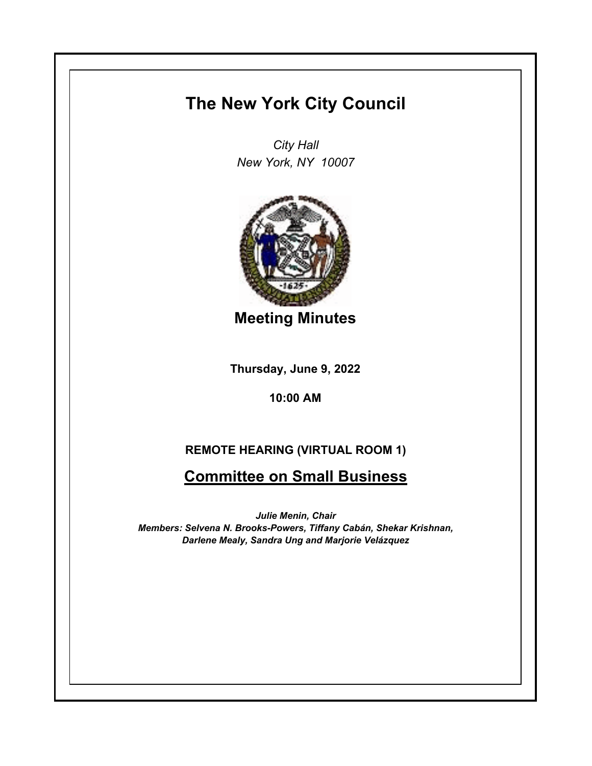## **The New York City Council**

*City Hall New York, NY 10007*



**Meeting Minutes**

**Thursday, June 9, 2022**

**10:00 AM**

## **REMOTE HEARING (VIRTUAL ROOM 1)**

**Committee on Small Business**

*Julie Menin, Chair Members: Selvena N. Brooks-Powers, Tiffany Cabán, Shekar Krishnan, Darlene Mealy, Sandra Ung and Marjorie Velázquez*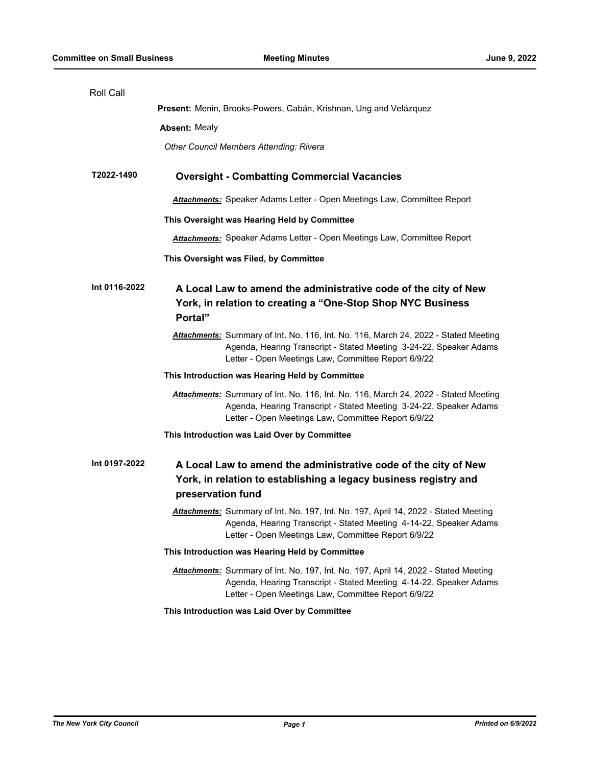| Roll Call     |                                                                                                                                                                                                                  |
|---------------|------------------------------------------------------------------------------------------------------------------------------------------------------------------------------------------------------------------|
|               | Present: Menin, Brooks-Powers, Cabán, Krishnan, Ung and Velázquez                                                                                                                                                |
|               | <b>Absent: Mealy</b>                                                                                                                                                                                             |
|               | Other Council Members Attending: Rivera                                                                                                                                                                          |
| T2022-1490    | <b>Oversight - Combatting Commercial Vacancies</b>                                                                                                                                                               |
|               | <b>Attachments:</b> Speaker Adams Letter - Open Meetings Law, Committee Report                                                                                                                                   |
|               | This Oversight was Hearing Held by Committee                                                                                                                                                                     |
|               | Attachments: Speaker Adams Letter - Open Meetings Law, Committee Report                                                                                                                                          |
|               | This Oversight was Filed, by Committee                                                                                                                                                                           |
| Int 0116-2022 | A Local Law to amend the administrative code of the city of New<br>York, in relation to creating a "One-Stop Shop NYC Business<br>Portal"                                                                        |
|               | Attachments: Summary of Int. No. 116, Int. No. 116, March 24, 2022 - Stated Meeting<br>Agenda, Hearing Transcript - Stated Meeting 3-24-22, Speaker Adams<br>Letter - Open Meetings Law, Committee Report 6/9/22 |
|               | This Introduction was Hearing Held by Committee                                                                                                                                                                  |
|               | Attachments: Summary of Int. No. 116, Int. No. 116, March 24, 2022 - Stated Meeting<br>Agenda, Hearing Transcript - Stated Meeting 3-24-22, Speaker Adams<br>Letter - Open Meetings Law, Committee Report 6/9/22 |
|               | This Introduction was Laid Over by Committee                                                                                                                                                                     |
| Int 0197-2022 | A Local Law to amend the administrative code of the city of New<br>York, in relation to establishing a legacy business registry and<br>preservation fund                                                         |
|               | Attachments: Summary of Int. No. 197, Int. No. 197, April 14, 2022 - Stated Meeting<br>Agenda, Hearing Transcript - Stated Meeting 4-14-22, Speaker Adams<br>Letter - Open Meetings Law, Committee Report 6/9/22 |
|               | This Introduction was Hearing Held by Committee                                                                                                                                                                  |
|               | Attachments: Summary of Int. No. 197, Int. No. 197, April 14, 2022 - Stated Meeting<br>Agenda, Hearing Transcript - Stated Meeting 4-14-22, Speaker Adams<br>Letter - Open Meetings Law, Committee Report 6/9/22 |
|               | This Introduction was Laid Over by Committee                                                                                                                                                                     |